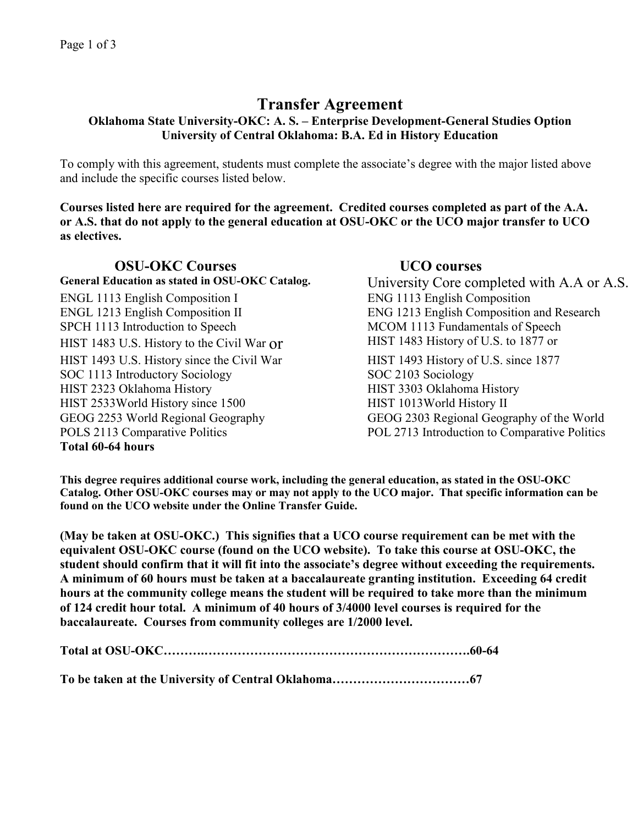# **Transfer Agreement**

## **Oklahoma State University-OKC: A. S. – Enterprise Development-General Studies Option University of Central Oklahoma: B.A. Ed in History Education**

To comply with this agreement, students must complete the associate's degree with the major listed above and include the specific courses listed below.

**Courses listed here are required for the agreement. Credited courses completed as part of the A.A. or A.S. that do not apply to the general education at OSU-OKC or the UCO major transfer to UCO as electives.** 

**OSU-OKC Courses UCO courses**<br>General Education as stated in OSU-OKC Catalog. University Core con ENGL 1113 English Composition I ENG 1113 English Composition ENGL 1213 English Composition II ENG 1213 English Composition and Research SPCH 1113 Introduction to Speech MCOM 1113 Fundamentals of Speech HIST 1483 U.S. History to the Civil War or HIST 1483 History of U.S. to 1877 or HIST 1493 U.S. History since the Civil War HIST 1493 History of U.S. since 1877 SOC 1113 Introductory Sociology SOC 2103 Sociology HIST 2323 Oklahoma History HIST 3303 Oklahoma History HIST 2533World History since 1500 HIST 1013World History II GEOG 2253 World Regional Geography GEOG 2303 Regional Geography of the World POLS 2113 Comparative Politics POL 2713 Introduction to Comparative Politics **Total 60-64 hours**

**University Core completed with A.A or A.S.** 

**This degree requires additional course work, including the general education, as stated in the OSU-OKC Catalog. Other OSU-OKC courses may or may not apply to the UCO major. That specific information can be found on the UCO website under the Online Transfer Guide.**

**(May be taken at OSU-OKC.) This signifies that a UCO course requirement can be met with the equivalent OSU-OKC course (found on the UCO website). To take this course at OSU-OKC, the student should confirm that it will fit into the associate's degree without exceeding the requirements. A minimum of 60 hours must be taken at a baccalaureate granting institution. Exceeding 64 credit hours at the community college means the student will be required to take more than the minimum of 124 credit hour total. A minimum of 40 hours of 3/4000 level courses is required for the baccalaureate. Courses from community colleges are 1/2000 level.**

**To be taken at the University of Central Oklahoma……………………………67**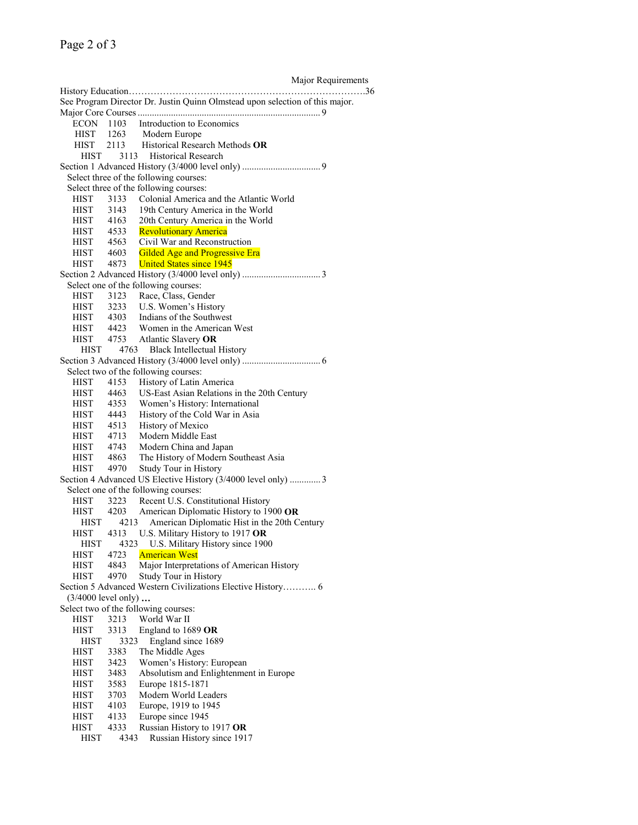Major Requirements

| See Program Director Dr. Justin Quinn Olmstead upon selection of this major. |      |                                                                                                                      |  |  |  |  |  |
|------------------------------------------------------------------------------|------|----------------------------------------------------------------------------------------------------------------------|--|--|--|--|--|
|                                                                              |      |                                                                                                                      |  |  |  |  |  |
| $ECON$ 1103                                                                  |      | Introduction to Economics                                                                                            |  |  |  |  |  |
| HIST 1263                                                                    |      | 1263 Modern Europe<br>2113 Historical Research Methods OR                                                            |  |  |  |  |  |
| <b>HIST</b>                                                                  |      |                                                                                                                      |  |  |  |  |  |
| HIST                                                                         |      | 3113 Historical Research                                                                                             |  |  |  |  |  |
|                                                                              |      |                                                                                                                      |  |  |  |  |  |
| Select three of the following courses:                                       |      |                                                                                                                      |  |  |  |  |  |
| Select three of the following courses:                                       |      |                                                                                                                      |  |  |  |  |  |
| HIST                                                                         | 3133 | Colonial America and the Atlantic World                                                                              |  |  |  |  |  |
|                                                                              | 3143 | 19th Century America in the World                                                                                    |  |  |  |  |  |
| HIST 3143<br>HIST 4163                                                       |      | 20th Century America in the World                                                                                    |  |  |  |  |  |
|                                                                              |      | HIST 4533 Revolutionary America                                                                                      |  |  |  |  |  |
|                                                                              |      |                                                                                                                      |  |  |  |  |  |
| HIST 4563<br>HIST 4603                                                       |      | Civil War and Reconstruction                                                                                         |  |  |  |  |  |
| HIST 4873                                                                    |      | <b>Gilded Age and Progressive Era</b>                                                                                |  |  |  |  |  |
|                                                                              |      | <b>United States since 1945</b>                                                                                      |  |  |  |  |  |
|                                                                              |      |                                                                                                                      |  |  |  |  |  |
|                                                                              |      | Select one of the following courses:                                                                                 |  |  |  |  |  |
| HIST                                                                         | 3123 | Race, Class, Gender                                                                                                  |  |  |  |  |  |
| HIST 3233                                                                    |      | U.S. Women's History                                                                                                 |  |  |  |  |  |
|                                                                              |      | HIST 4303 Indians of the Southwest                                                                                   |  |  |  |  |  |
|                                                                              |      | HIST 4423 Women in the American West<br>HIST 4753 Atlantic Slavery OR                                                |  |  |  |  |  |
|                                                                              |      |                                                                                                                      |  |  |  |  |  |
| HIST                                                                         | 4763 | <b>Black Intellectual History</b>                                                                                    |  |  |  |  |  |
|                                                                              |      |                                                                                                                      |  |  |  |  |  |
|                                                                              |      | Select two of the following courses:                                                                                 |  |  |  |  |  |
| HIST                                                                         | 4153 | History of Latin America                                                                                             |  |  |  |  |  |
| HIST 4463                                                                    |      | US-East Asian Relations in the 20th Century                                                                          |  |  |  |  |  |
|                                                                              |      |                                                                                                                      |  |  |  |  |  |
|                                                                              |      | HIST 4353 Women's History: International<br>HIST 4443 History of the Cold War in Asia<br>HIST 4513 History of Mexico |  |  |  |  |  |
|                                                                              |      |                                                                                                                      |  |  |  |  |  |
|                                                                              |      |                                                                                                                      |  |  |  |  |  |
|                                                                              |      | HIST 4713 Modern Middle East                                                                                         |  |  |  |  |  |
|                                                                              |      | HIST 4743 Modern China and Japan<br>HIST 4863 The History of Modern S                                                |  |  |  |  |  |
|                                                                              |      | The History of Modern Southeast Asia                                                                                 |  |  |  |  |  |
| HIST                                                                         | 4970 | Study Tour in History                                                                                                |  |  |  |  |  |
|                                                                              |      | Section 4 Advanced US Elective History (3/4000 level only)  3                                                        |  |  |  |  |  |
|                                                                              |      | Select one of the following courses:                                                                                 |  |  |  |  |  |
| HIST                                                                         | 3223 | Recent U.S. Constitutional History                                                                                   |  |  |  |  |  |
| HIST 4203                                                                    |      | American Diplomatic History to 1900 OR                                                                               |  |  |  |  |  |
| <b>HIST</b>                                                                  | 4213 | American Diplomatic Hist in the 20th Century                                                                         |  |  |  |  |  |
| HIST                                                                         | 4313 | U.S. Military History to 1917 OR                                                                                     |  |  |  |  |  |
| <b>HIST</b>                                                                  | 4323 | U.S. Military History since 1900                                                                                     |  |  |  |  |  |
| <b>HIST</b>                                                                  | 4723 | <b>American West</b>                                                                                                 |  |  |  |  |  |
| <b>HIST</b>                                                                  | 4843 | Major Interpretations of American History                                                                            |  |  |  |  |  |
| <b>HIST</b>                                                                  | 4970 | Study Tour in History                                                                                                |  |  |  |  |  |
|                                                                              |      | Section 5 Advanced Western Civilizations Elective History 6                                                          |  |  |  |  |  |
|                                                                              |      |                                                                                                                      |  |  |  |  |  |
| $(3/4000$ level only)                                                        |      |                                                                                                                      |  |  |  |  |  |
|                                                                              |      | Select two of the following courses:                                                                                 |  |  |  |  |  |
| HIST                                                                         | 3213 | World War II                                                                                                         |  |  |  |  |  |
| <b>HIST</b>                                                                  | 3313 | England to 1689 OR                                                                                                   |  |  |  |  |  |
| <b>HIST</b>                                                                  | 3323 | England since 1689                                                                                                   |  |  |  |  |  |
| <b>HIST</b>                                                                  | 3383 | The Middle Ages                                                                                                      |  |  |  |  |  |
| <b>HIST</b>                                                                  | 3423 | Women's History: European                                                                                            |  |  |  |  |  |
| <b>HIST</b>                                                                  | 3483 | Absolutism and Enlightenment in Europe                                                                               |  |  |  |  |  |
| <b>HIST</b>                                                                  | 3583 | Europe 1815-1871                                                                                                     |  |  |  |  |  |
| <b>HIST</b>                                                                  | 3703 | Modern World Leaders                                                                                                 |  |  |  |  |  |
| <b>HIST</b>                                                                  | 4103 | Europe, 1919 to 1945                                                                                                 |  |  |  |  |  |
| HIST                                                                         | 4133 | Europe since 1945                                                                                                    |  |  |  |  |  |
| <b>HIST</b>                                                                  | 4333 | Russian History to 1917 OR                                                                                           |  |  |  |  |  |
| <b>HIST</b>                                                                  | 4343 | Russian History since 1917                                                                                           |  |  |  |  |  |
|                                                                              |      |                                                                                                                      |  |  |  |  |  |